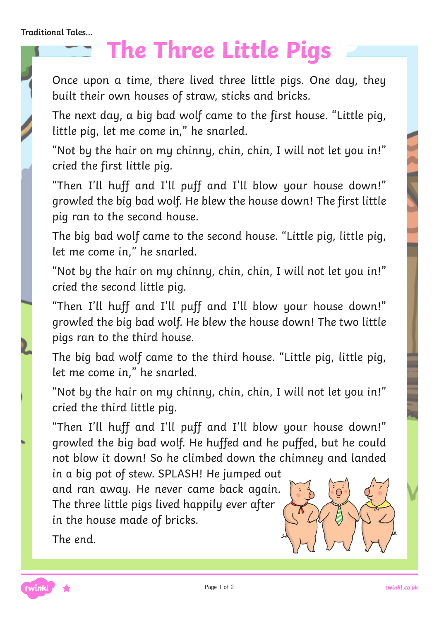**Traditional Tales...**

### **The Three Little Pigs**

Once upon a time, there lived three little pigs. One day, they built their own houses of straw, sticks and bricks.

The next day, a big bad wolf came to the first house. "Little pig, little pig, let me come in," he snarled.

"Not by the hair on my chinny, chin, chin, I will not let you in!" cried the first little pig.

"Then I'll huff and I'll puff and I'll blow your house down!" growled the big bad wolf. He blew the house down! The first little pig ran to the second house.

The big bad wolf came to the second house. "Little pig, little pig, let me come in," he snarled.

"Not by the hair on my chinny, chin, chin, I will not let you in!" cried the second little pig.

"Then I'll huff and I'll puff and I'll blow your house down!" growled the big bad wolf. He blew the house down! The two little pigs ran to the third house.

The big bad wolf came to the third house. "Little pig, little pig, let me come in," he snarled.

"Not by the hair on my chinny, chin, chin, I will not let you in!" cried the third little pig.

"Then I'll huff and I'll puff and I'll blow your house down!" growled the big bad wolf. He huffed and he puffed, but he could not blow it down! So he climbed down the chimney and landed

in a big pot of stew. SPLASH! He jumped out and ran away. He never came back again. The three little pigs lived happily ever after in the house made of bricks.

The end.

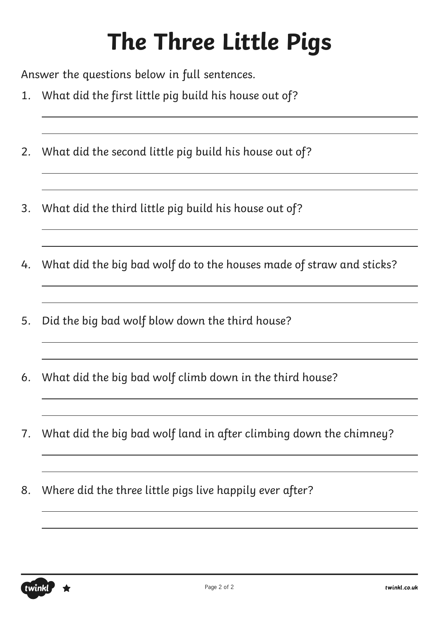Answer the questions below in full sentences.

- 1. What did the first little pig build his house out of?
- 2. What did the second little pig build his house out of?
- 3. What did the third little pig build his house out of?
- 4. What did the big bad wolf do to the houses made of straw and sticks?
- 5. Did the big bad wolf blow down the third house?
- 6. What did the big bad wolf climb down in the third house?

- 7. What did the big bad wolf land in after climbing down the chimney?
- 8. Where did the three little pigs live happily ever after?

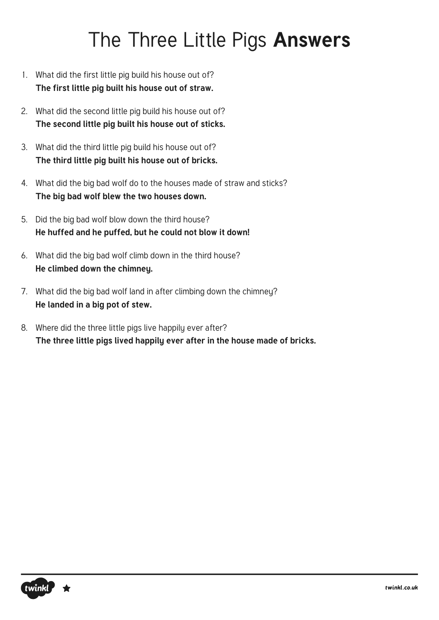#### The Three Little Pigs **Answers**

- 1. What did the first little pig build his house out of? **The first little pig built his house out of straw.**
- 2. What did the second little pig build his house out of? **The second little pig built his house out of sticks.**
- 3. What did the third little pig build his house out of? **The third little pig built his house out of bricks.**
- 4. What did the big bad wolf do to the houses made of straw and sticks? **The big bad wolf blew the two houses down.**
- 5. Did the big bad wolf blow down the third house? **He huffed and he puffed, but he could not blow it down!**
- 6. What did the big bad wolf climb down in the third house? **He climbed down the chimney.**
- 7. What did the big bad wolf land in after climbing down the chimney? **He landed in a big pot of stew.**
- 8. Where did the three little pigs live happily ever after? **The three little pigs lived happily ever after in the house made of bricks.**

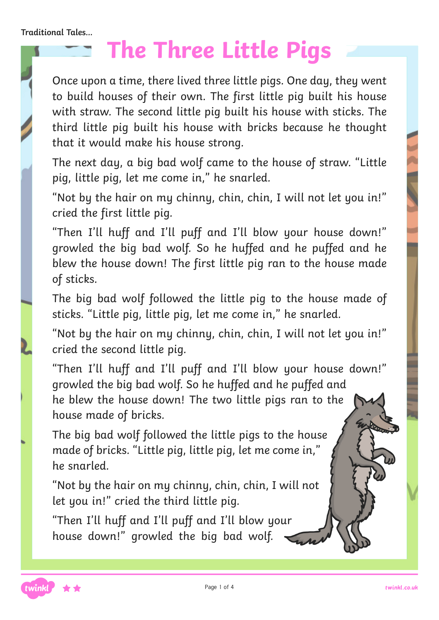Once upon a time, there lived three little pigs. One day, they went to build houses of their own. The first little pig built his house with straw. The second little pig built his house with sticks. The third little pig built his house with bricks because he thought that it would make his house strong.

The next day, a big bad wolf came to the house of straw. "Little pig, little pig, let me come in," he snarled.

"Not by the hair on my chinny, chin, chin, I will not let you in!" cried the first little pig.

"Then I'll huff and I'll puff and I'll blow your house down!" growled the big bad wolf. So he huffed and he puffed and he blew the house down! The first little pig ran to the house made of sticks.

The big bad wolf followed the little pig to the house made of sticks. "Little pig, little pig, let me come in," he snarled.

"Not by the hair on my chinny, chin, chin, I will not let you in!" cried the second little pig.

"Then I'll huff and I'll puff and I'll blow your house down!" growled the big bad wolf. So he huffed and he puffed and he blew the house down! The two little pigs ran to the house made of bricks.

The big bad wolf followed the little pigs to the house made of bricks. "Little pig, little pig, let me come in," he snarled.

"Not by the hair on my chinny, chin, chin, I will not let you in!" cried the third little pig.

"Then I'll huff and I'll puff and I'll blow your house down!" growled the big bad wolf.

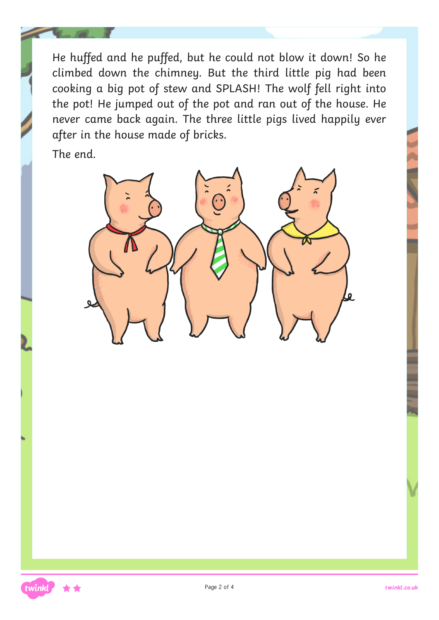He huffed and he puffed, but he could not blow it down! So he climbed down the chimney. But the third little pig had been cooking a big pot of stew and SPLASH! The wolf fell right into the pot! He jumped out of the pot and ran out of the house. He never came back again. The three little pigs lived happily ever after in the house made of bricks.

The end.



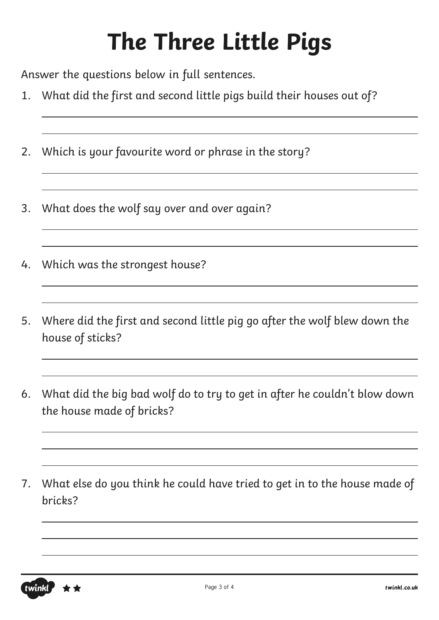Answer the questions below in full sentences.

- 1. What did the first and second little pigs build their houses out of?
- 2. Which is your favourite word or phrase in the story?
- 3. What does the wolf say over and over again?
- 4. Which was the strongest house?
- 5. Where did the first and second little pig go after the wolf blew down the house of sticks?
- 6. What did the big bad wolf do to try to get in after he couldn't blow down the house made of bricks?
- 7. What else do you think he could have tried to get in to the house made of bricks?

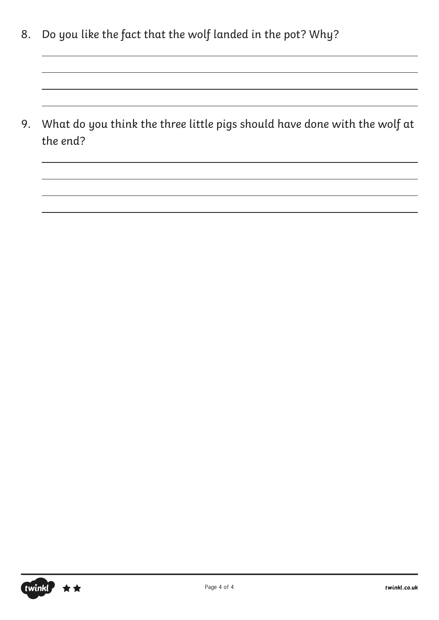8. Do you like the fact that the wolf landed in the pot? Why?

9. What do you think the three little pigs should have done with the wolf at the end?

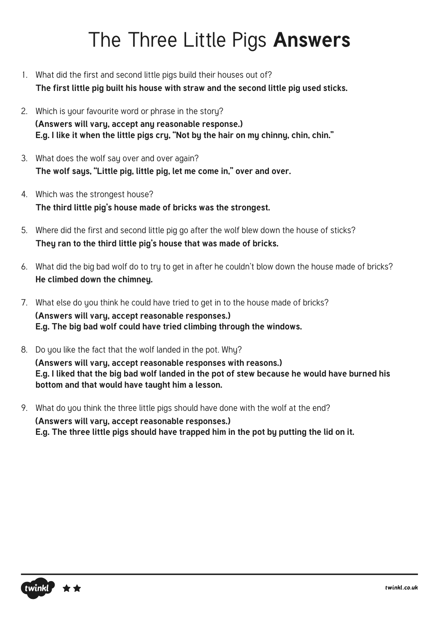#### The Three Little Pigs **Answers**

- 1. What did the first and second little pigs build their houses out of? **The first little pig built his house with straw and the second little pig used sticks.**
- 2. Which is your favourite word or phrase in the story? **(Answers will vary, accept any reasonable response.) E.g. I like it when the little pigs cry, "Not by the hair on my chinny, chin, chin."**
- 3. What does the wolf say over and over again? **The wolf says, "Little pig, little pig, let me come in," over and over.**
- 4. Which was the strongest house? **The third little pig's house made of bricks was the strongest.**
- 5. Where did the first and second little pig go after the wolf blew down the house of sticks? **They ran to the third little pig's house that was made of bricks.**
- 6. What did the big bad wolf do to try to get in after he couldn't blow down the house made of bricks? **He climbed down the chimney.**
- 7. What else do you think he could have tried to get in to the house made of bricks? **(Answers will vary, accept reasonable responses.) E.g. The big bad wolf could have tried climbing through the windows.**
- 8. Do you like the fact that the wolf landed in the pot. Why? **(Answers will vary, accept reasonable responses with reasons.) E.g. I liked that the big bad wolf landed in the pot of stew because he would have burned his bottom and that would have taught him a lesson.**
- 9. What do you think the three little pigs should have done with the wolf at the end? **(Answers will vary, accept reasonable responses.) E.g. The three little pigs should have trapped him in the pot by putting the lid on it.**

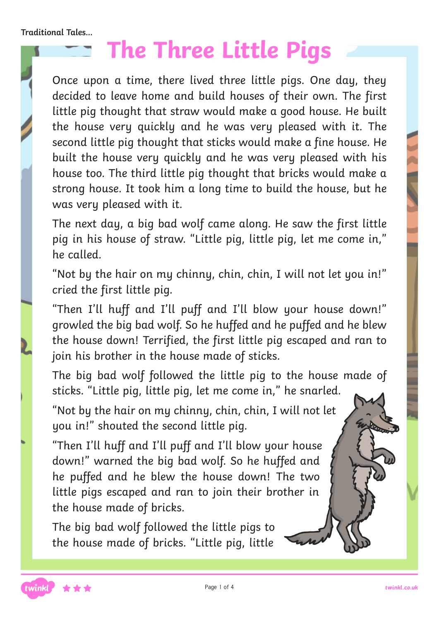Once upon a time, there lived three little pigs. One day, they decided to leave home and build houses of their own. The first little pig thought that straw would make a good house. He built the house very quickly and he was very pleased with it. The second little pig thought that sticks would make a fine house. He built the house very quickly and he was very pleased with his house too. The third little pig thought that bricks would make a strong house. It took him a long time to build the house, but he was very pleased with it.

The next day, a big bad wolf came along. He saw the first little pig in his house of straw. "Little pig, little pig, let me come in," he called.

"Not by the hair on my chinny, chin, chin, I will not let you in!" cried the first little pig.

"Then I'll huff and I'll puff and I'll blow your house down!" growled the big bad wolf. So he huffed and he puffed and he blew the house down! Terrified, the first little pig escaped and ran to join his brother in the house made of sticks.

The big bad wolf followed the little pig to the house made of sticks. "Little pig, little pig, let me come in," he snarled.

"Not by the hair on my chinny, chin, chin, I will not let you in!" shouted the second little pig.

"Then I'll huff and I'll puff and I'll blow your house down!" warned the big bad wolf. So he huffed and he puffed and he blew the house down! The two little pigs escaped and ran to join their brother in the house made of bricks.

The big bad wolf followed the little pigs to the house made of bricks. "Little pig, little

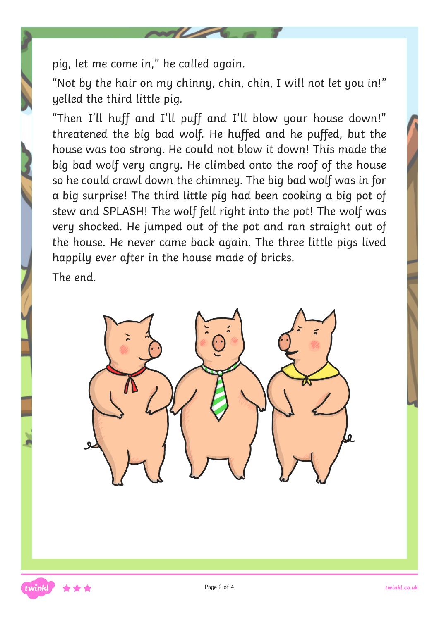pig, let me come in," he called again.

"Not by the hair on my chinny, chin, chin, I will not let you in!" yelled the third little pig.

"Then I'll huff and I'll puff and I'll blow your house down!" threatened the big bad wolf. He huffed and he puffed, but the house was too strong. He could not blow it down! This made the big bad wolf very angry. He climbed onto the roof of the house so he could crawl down the chimney. The big bad wolf was in for a big surprise! The third little pig had been cooking a big pot of stew and SPLASH! The wolf fell right into the pot! The wolf was very shocked. He jumped out of the pot and ran straight out of the house. He never came back again. The three little pigs lived happily ever after in the house made of bricks.

The end.

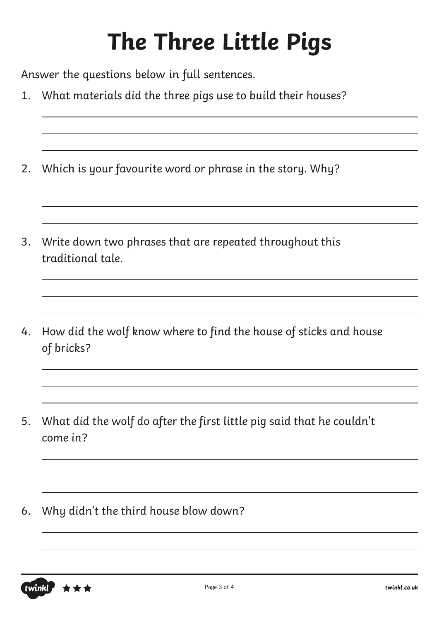Answer the questions below in full sentences.

- 1. What materials did the three pigs use to build their houses?
- 2. Which is your favourite word or phrase in the story. Why?
- 3. Write down two phrases that are repeated throughout this traditional tale.
- 4. How did the wolf know where to find the house of sticks and house of bricks?
- 5. What did the wolf do after the first little pig said that he couldn't come in?
- 6. Why didn't the third house blow down?

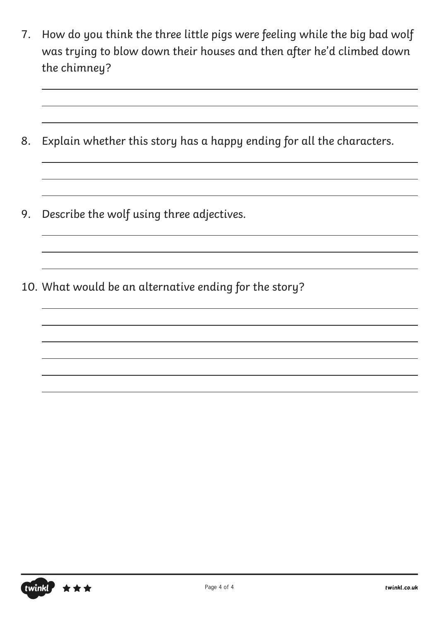- 7. How do you think the three little pigs were feeling while the big bad wolf was trying to blow down their houses and then after he'd climbed down the chimney?
- 8. Explain whether this story has a happy ending for all the characters.
- 9. Describe the wolf using three adjectives.
- 10. What would be an alternative ending for the story?